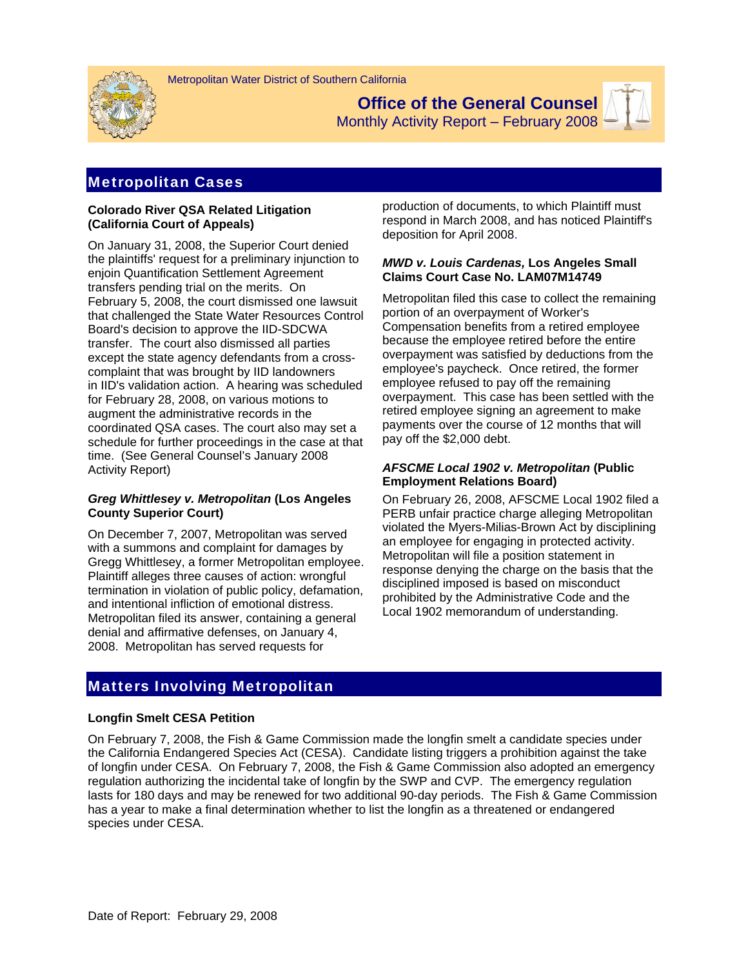

**Office of the General Counsel** 



Monthly Activity Report – February 2008

## Metropolitan Cases

#### **Colorado River QSA Related Litigation (California Court of Appeals)**

On January 31, 2008, the Superior Court denied the plaintiffs' request for a preliminary injunction to enjoin Quantification Settlement Agreement transfers pending trial on the merits. On February 5, 2008, the court dismissed one lawsuit that challenged the State Water Resources Control Board's decision to approve the IID-SDCWA transfer. The court also dismissed all parties except the state agency defendants from a crosscomplaint that was brought by IID landowners in IID's validation action. A hearing was scheduled for February 28, 2008, on various motions to augment the administrative records in the coordinated QSA cases. The court also may set a schedule for further proceedings in the case at that time. (See General Counsel's January 2008 Activity Report)

### *Greg Whittlesey v. Metropolitan* **(Los Angeles County Superior Court)**

On December 7, 2007, Metropolitan was served with a summons and complaint for damages by Gregg Whittlesey, a former Metropolitan employee. Plaintiff alleges three causes of action: wrongful termination in violation of public policy, defamation, and intentional infliction of emotional distress. Metropolitan filed its answer, containing a general denial and affirmative defenses, on January 4, 2008. Metropolitan has served requests for

production of documents, to which Plaintiff must respond in March 2008, and has noticed Plaintiff's deposition for April 2008.

#### *MWD v. Louis Cardenas,* **Los Angeles Small Claims Court Case No. LAM07M14749**

Metropolitan filed this case to collect the remaining portion of an overpayment of Worker's Compensation benefits from a retired employee because the employee retired before the entire overpayment was satisfied by deductions from the employee's paycheck. Once retired, the former employee refused to pay off the remaining overpayment. This case has been settled with the retired employee signing an agreement to make payments over the course of 12 months that will pay off the \$2,000 debt.

### *AFSCME Local 1902 v. Metropolitan* **(Public Employment Relations Board)**

On February 26, 2008, AFSCME Local 1902 filed a PERB unfair practice charge alleging Metropolitan violated the Myers-Milias-Brown Act by disciplining an employee for engaging in protected activity. Metropolitan will file a position statement in response denying the charge on the basis that the disciplined imposed is based on misconduct prohibited by the Administrative Code and the Local 1902 memorandum of understanding.

## Matters Involving Metropolitan

### **Longfin Smelt CESA Petition**

On February 7, 2008, the Fish & Game Commission made the longfin smelt a candidate species under the California Endangered Species Act (CESA). Candidate listing triggers a prohibition against the take of longfin under CESA. On February 7, 2008, the Fish & Game Commission also adopted an emergency regulation authorizing the incidental take of longfin by the SWP and CVP. The emergency regulation lasts for 180 days and may be renewed for two additional 90-day periods. The Fish & Game Commission has a year to make a final determination whether to list the longfin as a threatened or endangered species under CESA.